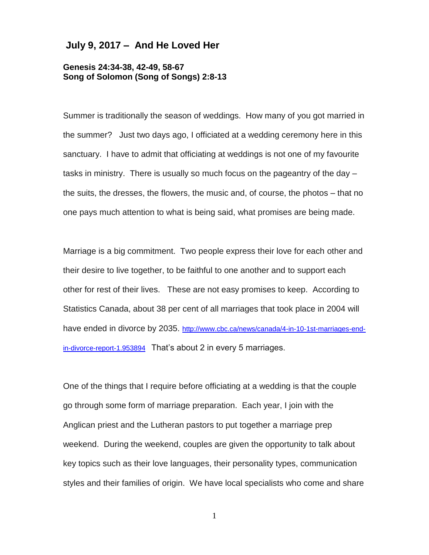## **July 9, 2017 – And He Loved Her**

## **Genesis 24:34-38, 42-49, 58-67 Song of Solomon (Song of Songs) 2:8-13**

Summer is traditionally the season of weddings. How many of you got married in the summer? Just two days ago, I officiated at a wedding ceremony here in this sanctuary. I have to admit that officiating at weddings is not one of my favourite tasks in ministry. There is usually so much focus on the pageantry of the day – the suits, the dresses, the flowers, the music and, of course, the photos – that no one pays much attention to what is being said, what promises are being made.

Marriage is a big commitment. Two people express their love for each other and their desire to live together, to be faithful to one another and to support each other for rest of their lives. These are not easy promises to keep. According to Statistics Canada, about 38 per cent of all marriages that took place in 2004 will have ended in divorce by 2035. [http://www.cbc.ca/news/canada/4-in-10-1st-marriages-end](http://www.cbc.ca/news/canada/4-in-10-1st-marriages-end-in-divorce-report-1.953894)[in-divorce-report-1.953894](http://www.cbc.ca/news/canada/4-in-10-1st-marriages-end-in-divorce-report-1.953894) That's about 2 in every 5 marriages.

One of the things that I require before officiating at a wedding is that the couple go through some form of marriage preparation. Each year, I join with the Anglican priest and the Lutheran pastors to put together a marriage prep weekend. During the weekend, couples are given the opportunity to talk about key topics such as their love languages, their personality types, communication styles and their families of origin. We have local specialists who come and share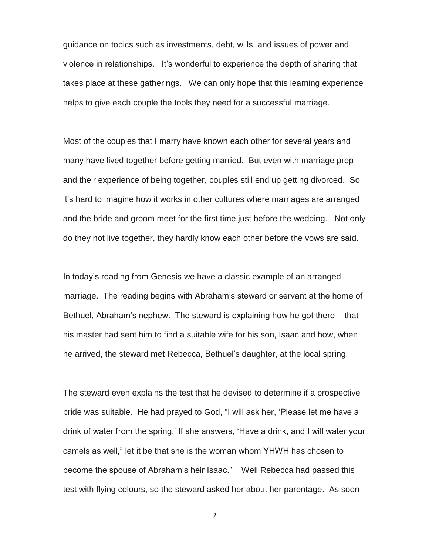guidance on topics such as investments, debt, wills, and issues of power and violence in relationships. It's wonderful to experience the depth of sharing that takes place at these gatherings. We can only hope that this learning experience helps to give each couple the tools they need for a successful marriage.

Most of the couples that I marry have known each other for several years and many have lived together before getting married. But even with marriage prep and their experience of being together, couples still end up getting divorced. So it's hard to imagine how it works in other cultures where marriages are arranged and the bride and groom meet for the first time just before the wedding. Not only do they not live together, they hardly know each other before the vows are said.

In today's reading from Genesis we have a classic example of an arranged marriage. The reading begins with Abraham's steward or servant at the home of Bethuel, Abraham's nephew. The steward is explaining how he got there – that his master had sent him to find a suitable wife for his son, Isaac and how, when he arrived, the steward met Rebecca, Bethuel's daughter, at the local spring.

The steward even explains the test that he devised to determine if a prospective bride was suitable. He had prayed to God, "I will ask her, 'Please let me have a drink of water from the spring.' If she answers, 'Have a drink, and I will water your camels as well," let it be that she is the woman whom YHWH has chosen to become the spouse of Abraham's heir Isaac." Well Rebecca had passed this test with flying colours, so the steward asked her about her parentage. As soon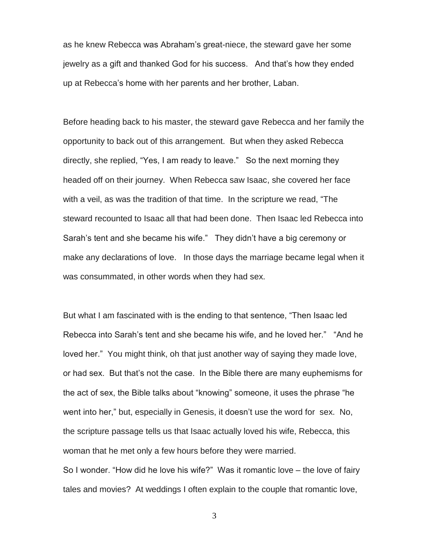as he knew Rebecca was Abraham's great-niece, the steward gave her some jewelry as a gift and thanked God for his success. And that's how they ended up at Rebecca's home with her parents and her brother, Laban.

Before heading back to his master, the steward gave Rebecca and her family the opportunity to back out of this arrangement. But when they asked Rebecca directly, she replied, "Yes, I am ready to leave." So the next morning they headed off on their journey. When Rebecca saw Isaac, she covered her face with a veil, as was the tradition of that time. In the scripture we read, "The steward recounted to Isaac all that had been done. Then Isaac led Rebecca into Sarah's tent and she became his wife." They didn't have a big ceremony or make any declarations of love. In those days the marriage became legal when it was consummated, in other words when they had sex.

But what I am fascinated with is the ending to that sentence, "Then Isaac led Rebecca into Sarah's tent and she became his wife, and he loved her." "And he loved her." You might think, oh that just another way of saying they made love, or had sex. But that's not the case. In the Bible there are many euphemisms for the act of sex, the Bible talks about "knowing" someone, it uses the phrase "he went into her," but, especially in Genesis, it doesn't use the word for sex. No, the scripture passage tells us that Isaac actually loved his wife, Rebecca, this woman that he met only a few hours before they were married. So I wonder. "How did he love his wife?" Was it romantic love – the love of fairy tales and movies? At weddings I often explain to the couple that romantic love,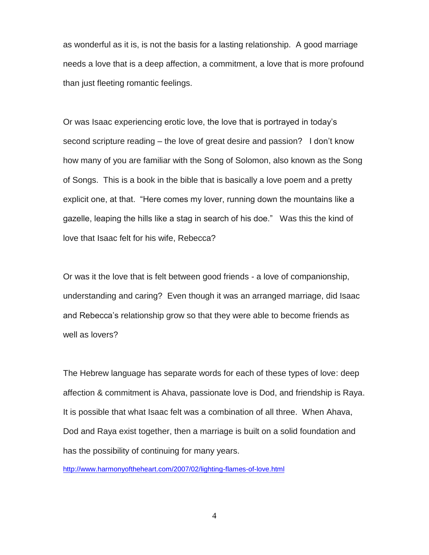as wonderful as it is, is not the basis for a lasting relationship. A good marriage needs a love that is a deep affection, a commitment, a love that is more profound than just fleeting romantic feelings.

Or was Isaac experiencing erotic love, the love that is portrayed in today's second scripture reading – the love of great desire and passion? I don't know how many of you are familiar with the Song of Solomon, also known as the Song of Songs. This is a book in the bible that is basically a love poem and a pretty explicit one, at that. "Here comes my lover, running down the mountains like a gazelle, leaping the hills like a stag in search of his doe." Was this the kind of love that Isaac felt for his wife, Rebecca?

Or was it the love that is felt between good friends - a love of companionship, understanding and caring? Even though it was an arranged marriage, did Isaac and Rebecca's relationship grow so that they were able to become friends as well as lovers?

The Hebrew language has separate words for each of these types of love: deep affection & commitment is Ahava, passionate love is Dod, and friendship is Raya. It is possible that what Isaac felt was a combination of all three. When Ahava, Dod and Raya exist together, then a marriage is built on a solid foundation and has the possibility of continuing for many years.

<http://www.harmonyoftheheart.com/2007/02/lighting-flames-of-love.html>